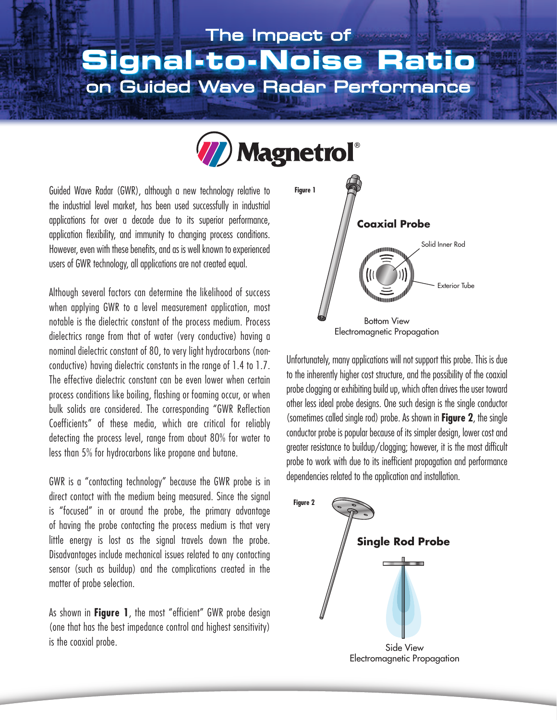# The Impact of **Signal-to-Noise Ratio**  on Guided Wave Radar Performance



Guided Wave Radar (GWR), although a new technology relative to the industrial level market, has been used successfully in industrial applications for over a decade due to its superior performance, application flexibility, and immunity to changing process conditions. However, even with these benefits, and as is well known to experienced users of GWR technology, all applications are not created equal.

Although several factors can determine the likelihood of success when applying GWR to a level measurement application, most notable is the dielectric constant of the process medium. Process dielectrics range from that of water (very conductive) having a nominal dielectric constant of 80, to very light hydrocarbons (nonconductive) having dielectric constants in the range of 1.4 to 1.7. The effective dielectric constant can be even lower when certain process conditions like boiling, flashing or foaming occur, or when bulk solids are considered. The corresponding "GWR Reflection Coefficients" of these media, which are critical for reliably detecting the process level, range from about 80% for water to less than 5% for hydrocarbons like propane and butane.

GWR is a "contacting technology" because the GWR probe is in direct contact with the medium being measured. Since the signal is "focused" in or around the probe, the primary advantage of having the probe contacting the process medium is that very little energy is lost as the signal travels down the probe. Disadvantages include mechanical issues related to any contacting sensor (such as buildup) and the complications created in the matter of probe selection.

As shown in **Figure 1**, the most "efficient" GWR probe design (one that has the best impedance control and highest sensitivity) is the coaxial probe.



Unfortunately, many applications will not support this probe. This is due to the inherently higher cost structure, and the possibility of the coaxial probe clogging or exhibiting build up, which often drives the user toward other less ideal probe designs. One such design is the single conductor (sometimes called single rod) probe. As shown in **Figure 2**, the single conductor probe is popular because of its simpler design, lower cost and greater resistance to buildup/clogging; however, it is the most difficult probe to work with due to its inefficient propagation and performance dependencies related to the application and installation.

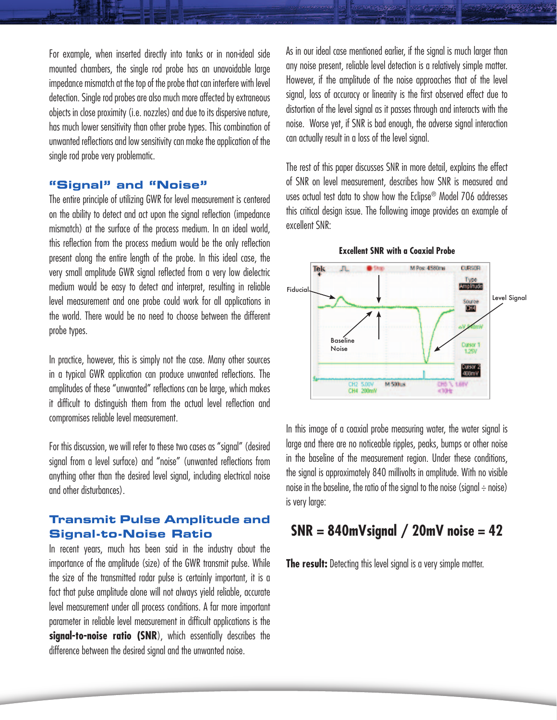For example, when inserted directly into tanks or in non-ideal side mounted chambers, the single rod probe has an unavoidable large impedance mismatch at the top of the probe that can interfere with level detection. Single rod probes are also much more affected by extraneous objects in close proximity (i.e. nozzles) and due to its dispersive nature, has much lower sensitivity than other probe types. This combination of unwanted reflections and low sensitivity can make the application of the single rod probe very problematic.

### **"Signal" and "Noise"**

The entire principle of utilizing GWR for level measurement is centered on the ability to detect and act upon the signal reflection (impedance mismatch) at the surface of the process medium. In an ideal world, this reflection from the process medium would be the only reflection present along the entire length of the probe. In this ideal case, the very small amplitude GWR signal reflected from a very low dielectric medium would be easy to detect and interpret, resulting in reliable level measurement and one probe could work for all applications in the world. There would be no need to choose between the different probe types.

In practice, however, this is simply not the case. Many other sources in a typical GWR application can produce unwanted reflections. The amplitudes of these "unwanted" reflections can be large, which makes it difficult to distinguish them from the actual level reflection and compromises reliable level measurement.

For this discussion, we will refer to these two cases as "signal" (desired signal from a level surface) and "noise" (unwanted reflections from anything other than the desired level signal, including electrical noise and other disturbances).

# **Transmit Pulse Amplitude and Signal-to-Noise Ratio**

In recent years, much has been said in the industry about the importance of the amplitude (size) of the GWR transmit pulse. While the size of the transmitted radar pulse is certainly important, it is a fact that pulse amplitude alone will not always yield reliable, accurate level measurement under all process conditions. A far more important parameter in reliable level measurement in difficult applications is the **signal-to-noise ratio (SNR**), which essentially describes the difference between the desired signal and the unwanted noise.

As in our ideal case mentioned earlier, if the signal is much larger than any noise present, reliable level detection is a relatively simple matter. However, if the amplitude of the noise approaches that of the level signal, loss of accuracy or linearity is the first observed effect due to distortion of the level signal as it passes through and interacts with the noise. Worse yet, if SNR is bad enough, the adverse signal interaction can actually result in a loss of the level signal.

The rest of this paper discusses SNR in more detail, explains the effect of SNR on level measurement, describes how SNR is measured and uses actual test data to show how the Eclipse® Model 706 addresses this critical design issue. The following image provides an example of excellent SNR:



**Excellent SNR with a Coaxial Probe**

In this image of a coaxial probe measuring water, the water signal is large and there are no noticeable ripples, peaks, bumps or other noise in the baseline of the measurement region. Under these conditions, the signal is approximately 840 millivolts in amplitude. With no visible noise in the baseline, the ratio of the signal to the noise (signal  $\div$  noise) is very large:

# **SNR = 840mVsignal / 20mV noise = 42**

**The result:** Detecting this level signal is a very simple matter.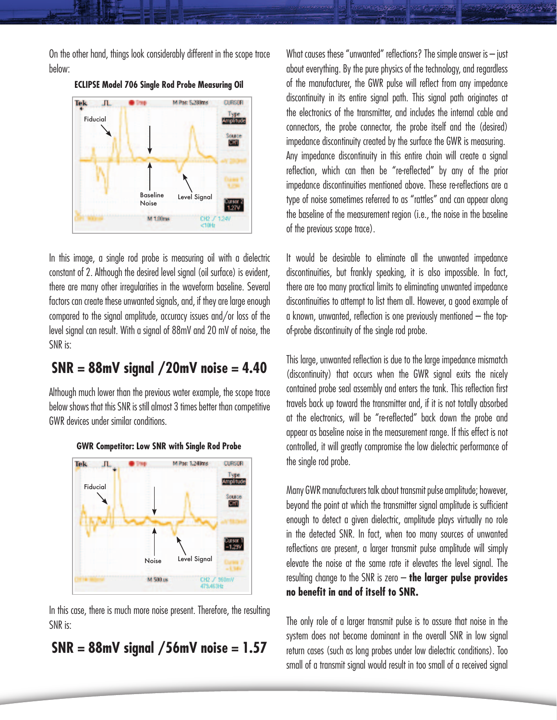On the other hand, things look considerably different in the scope trace below:



**ECLIPSE Model 706 Single Rod Probe Measuring Oil**

In this image, a single rod probe is measuring oil with a dielectric constant of 2. Although the desired level signal (oil surface) is evident, there are many other irregularities in the waveform baseline. Several factors can create these unwanted signals, and, if they are large enough compared to the signal amplitude, accuracy issues and/or loss of the level signal can result. With a signal of 88mV and 20 mV of noise, the SNR is:

# **SNR = 88mV signal /20mV noise = 4.40**

Although much lower than the previous water example, the scope trace below shows that this SNR is still almost 3 times better than competitive GWR devices under similar conditions.



#### **GWR Competitor: Low SNR with Single Rod Probe**

In this case, there is much more noise present. Therefore, the resulting SNR is:

# **SNR = 88mV signal /56mV noise = 1.57**

What causes these "unwanted" reflections? The simple answer is  $-$  just about everything. By the pure physics of the technology, and regardless of the manufacturer, the GWR pulse will reflect from any impedance discontinuity in its entire signal path. This signal path originates at the electronics of the transmitter, and includes the internal cable and connectors, the probe connector, the probe itself and the (desired) impedance discontinuity created by the surface the GWR is measuring. Any impedance discontinuity in this entire chain will create a signal reflection, which can then be "re-reflected" by any of the prior impedance discontinuities mentioned above. These re-reflections are a type of noise sometimes referred to as "rattles" and can appear along the baseline of the measurement region (i.e., the noise in the baseline of the previous scope trace).

It would be desirable to eliminate all the unwanted impedance discontinuities, but frankly speaking, it is also impossible. In fact, there are too many practical limits to eliminating unwanted impedance discontinuities to attempt to list them all. However, a good example of a known, unwanted, reflection is one previously mentioned – the topof-probe discontinuity of the single rod probe.

This large, unwanted reflection is due to the large impedance mismatch (discontinuity) that occurs when the GWR signal exits the nicely contained probe seal assembly and enters the tank. This reflection first travels back up toward the transmitter and, if it is not totally absorbed at the electronics, will be "re-reflected" back down the probe and appear as baseline noise in the measurement range. If this effect is not controlled, it will greatly compromise the low dielectric performance of the single rod probe.

Many GWR manufacturers talk about transmit pulse amplitude; however, beyond the point at which the transmitter signal amplitude is sufficient enough to detect a given dielectric, amplitude plays virtually no role in the detected SNR. In fact, when too many sources of unwanted reflections are present, a larger transmit pulse amplitude will simply elevate the noise at the same rate it elevates the level signal. The resulting change to the SNR is zero – **the larger pulse provides no benefit in and of itself to SNR.**

The only role of a larger transmit pulse is to assure that noise in the system does not become dominant in the overall SNR in low signal return cases (such as long probes under low dielectric conditions). Too small of a transmit signal would result in too small of a received signal